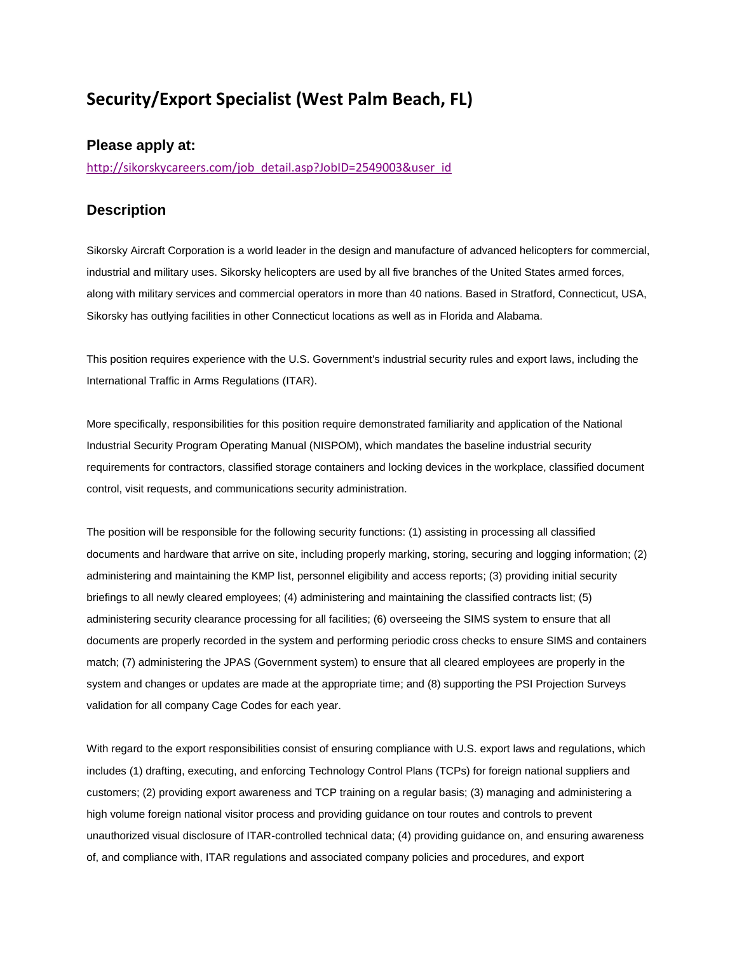## **Security/Export Specialist (West Palm Beach, FL)**

## **Please apply at:**

[http://sikorskycareers.com/job\\_detail.asp?JobID=2549003&user\\_id](http://sikorskycareers.com/job_detail.asp?JobID=2549003&user_id)

## **Description**

Sikorsky Aircraft Corporation is a world leader in the design and manufacture of advanced helicopters for commercial, industrial and military uses. Sikorsky helicopters are used by all five branches of the United States armed forces, along with military services and commercial operators in more than 40 nations. Based in Stratford, Connecticut, USA, Sikorsky has outlying facilities in other Connecticut locations as well as in Florida and Alabama.

This position requires experience with the U.S. Government's industrial security rules and export laws, including the International Traffic in Arms Regulations (ITAR).

More specifically, responsibilities for this position require demonstrated familiarity and application of the National Industrial Security Program Operating Manual (NISPOM), which mandates the baseline industrial security requirements for contractors, classified storage containers and locking devices in the workplace, classified document control, visit requests, and communications security administration.

The position will be responsible for the following security functions: (1) assisting in processing all classified documents and hardware that arrive on site, including properly marking, storing, securing and logging information; (2) administering and maintaining the KMP list, personnel eligibility and access reports; (3) providing initial security briefings to all newly cleared employees; (4) administering and maintaining the classified contracts list; (5) administering security clearance processing for all facilities; (6) overseeing the SIMS system to ensure that all documents are properly recorded in the system and performing periodic cross checks to ensure SIMS and containers match; (7) administering the JPAS (Government system) to ensure that all cleared employees are properly in the system and changes or updates are made at the appropriate time; and (8) supporting the PSI Projection Surveys validation for all company Cage Codes for each year.

With regard to the export responsibilities consist of ensuring compliance with U.S. export laws and regulations, which includes (1) drafting, executing, and enforcing Technology Control Plans (TCPs) for foreign national suppliers and customers; (2) providing export awareness and TCP training on a regular basis; (3) managing and administering a high volume foreign national visitor process and providing guidance on tour routes and controls to prevent unauthorized visual disclosure of ITAR-controlled technical data; (4) providing guidance on, and ensuring awareness of, and compliance with, ITAR regulations and associated company policies and procedures, and export